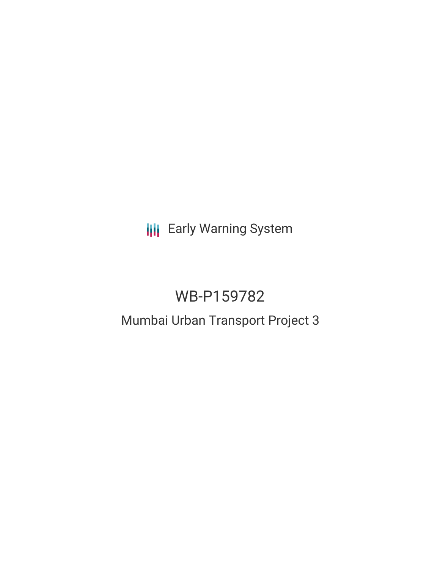**III** Early Warning System

# WB-P159782

## Mumbai Urban Transport Project 3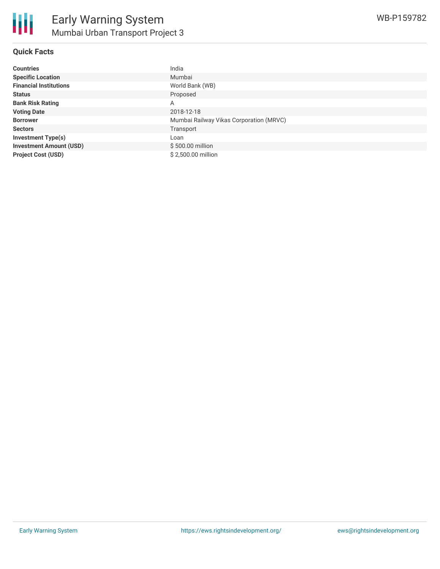

| <b>Countries</b>               | India                                   |
|--------------------------------|-----------------------------------------|
| <b>Specific Location</b>       | Mumbai                                  |
| <b>Financial Institutions</b>  | World Bank (WB)                         |
| <b>Status</b>                  | Proposed                                |
| <b>Bank Risk Rating</b>        | A                                       |
| <b>Voting Date</b>             | 2018-12-18                              |
| <b>Borrower</b>                | Mumbai Railway Vikas Corporation (MRVC) |
| <b>Sectors</b>                 | Transport                               |
| <b>Investment Type(s)</b>      | Loan                                    |
| <b>Investment Amount (USD)</b> | \$500.00 million                        |
| <b>Project Cost (USD)</b>      | \$2,500.00 million                      |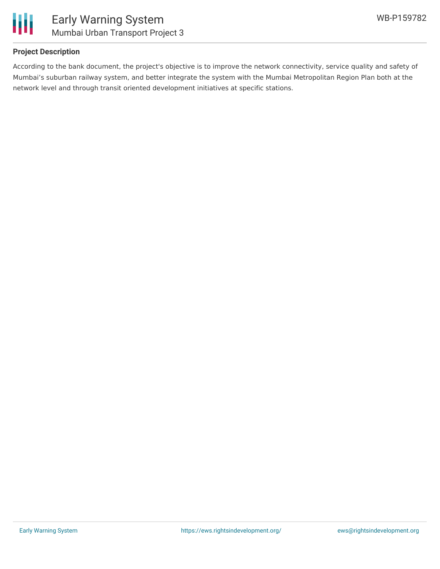

#### **Project Description**

According to the bank document, the project's objective is to improve the network connectivity, service quality and safety of Mumbai's suburban railway system, and better integrate the system with the Mumbai Metropolitan Region Plan both at the network level and through transit oriented development initiatives at specific stations.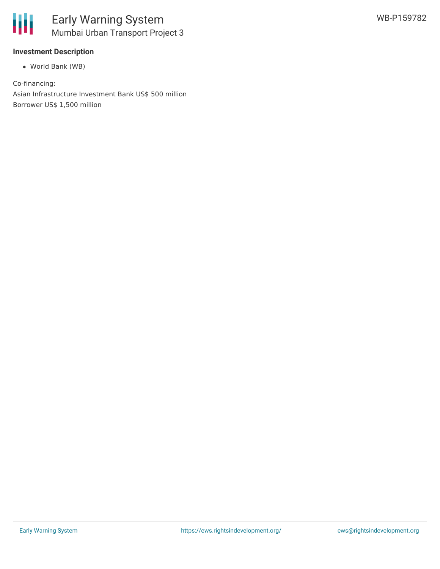

#### **Investment Description**

World Bank (WB)

Co-financing: Asian Infrastructure Investment Bank US\$ 500 million Borrower US\$ 1,500 million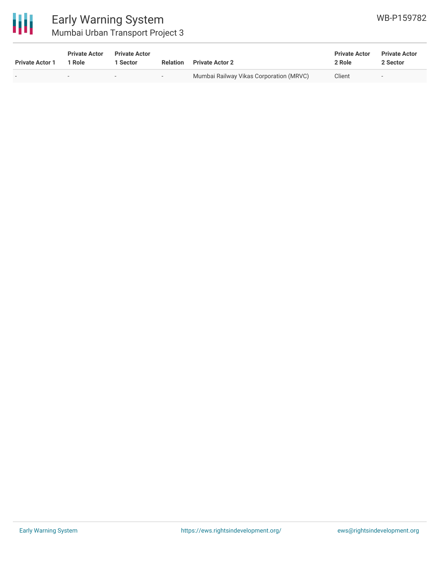

## Early Warning System Mumbai Urban Transport Project 3

| <b>Private Actor 1</b> | <b>Private Actor</b><br>1 Role | <b>Private Actor</b><br>Sector | <b>Relation</b> | <b>Private Actor 2</b>                  | <b>Private Actor</b><br>2 Role | <b>Private Actor</b><br>2 Sector |
|------------------------|--------------------------------|--------------------------------|-----------------|-----------------------------------------|--------------------------------|----------------------------------|
| $-$                    | $\overline{\phantom{a}}$       | $\overline{\phantom{a}}$       | $\sim$          | Mumbai Railway Vikas Corporation (MRVC) | Client                         | $\sim$ $ -$                      |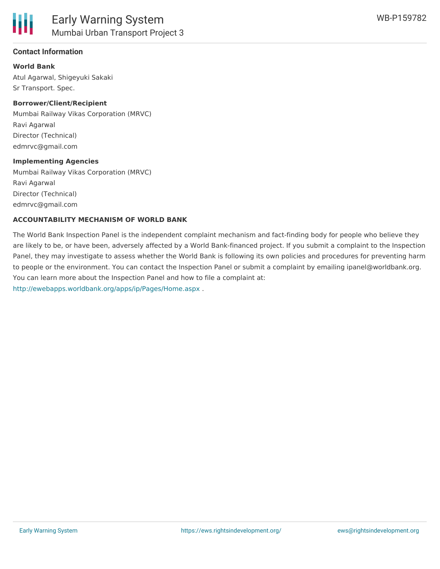

#### **Contact Information**

**World Bank** Atul Agarwal, Shigeyuki Sakaki Sr Transport. Spec.

#### **Borrower/Client/Recipient**

Mumbai Railway Vikas Corporation (MRVC) Ravi Agarwal Director (Technical) edmrvc@gmail.com

#### **Implementing Agencies**

Mumbai Railway Vikas Corporation (MRVC) Ravi Agarwal Director (Technical) edmrvc@gmail.com

#### **ACCOUNTABILITY MECHANISM OF WORLD BANK**

The World Bank Inspection Panel is the independent complaint mechanism and fact-finding body for people who believe they are likely to be, or have been, adversely affected by a World Bank-financed project. If you submit a complaint to the Inspection Panel, they may investigate to assess whether the World Bank is following its own policies and procedures for preventing harm to people or the environment. You can contact the Inspection Panel or submit a complaint by emailing ipanel@worldbank.org. You can learn more about the Inspection Panel and how to file a complaint at: <http://ewebapps.worldbank.org/apps/ip/Pages/Home.aspx> .